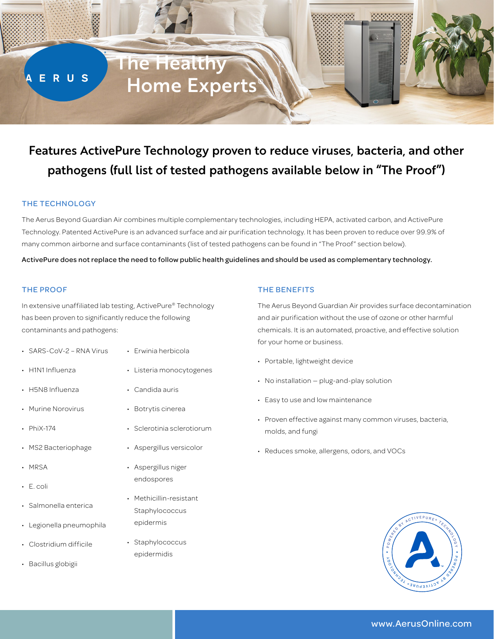

# Features ActivePure Technology proven to reduce viruses, bacteria, and other pathogens (full list of tested pathogens available below in "The Proof")

# THE TECHNOLOGY

The Aerus Beyond Guardian Air combines multiple complementary technologies, including HEPA, activated carbon, and ActivePure Technology. Patented ActivePure is an advanced surface and air purification technology. It has been proven to reduce over 99.9% of many common airborne and surface contaminants (list of tested pathogens can be found in "The Proof" section below).

ActivePure does not replace the need to follow public health guidelines and should be used as complementary technology.

#### THE PROOF

In extensive unaffiliated lab testing, ActivePure® Technology has been proven to significantly reduce the following contaminants and pathogens:

- SARS-CoV-2 RNA Virus
- H1N1 Influenza
- H5N8 Influenza
- Murine Norovirus
- PhiX-174
- MS2 Bacteriophage
- MRSA
- E. coli
- Salmonella enterica
- Legionella pneumophila
- Clostridium difficile
- Bacillus globigii
- Erwinia herbicola
- Listeria monocytogenes
- Candida auris
- Botrytis cinerea
	- Sclerotinia sclerotiorum
- Aspergillus versicolor
- Aspergillus niger endospores
- Methicillin-resistant Staphylococcus epidermis
- Staphylococcus epidermidis

#### THE BENEFITS

The Aerus Beyond Guardian Air provides surface decontamination and air purification without the use of ozone or other harmful chemicals. It is an automated, proactive, and effective solution for your home or business.

- Portable, lightweight device
- No installation plug-and-play solution
- Easy to use and low maintenance
- Proven effective against many common viruses, bacteria, molds, and fungi
- Reduces smoke, allergens, odors, and VOCs



# www.AerusOnline.com